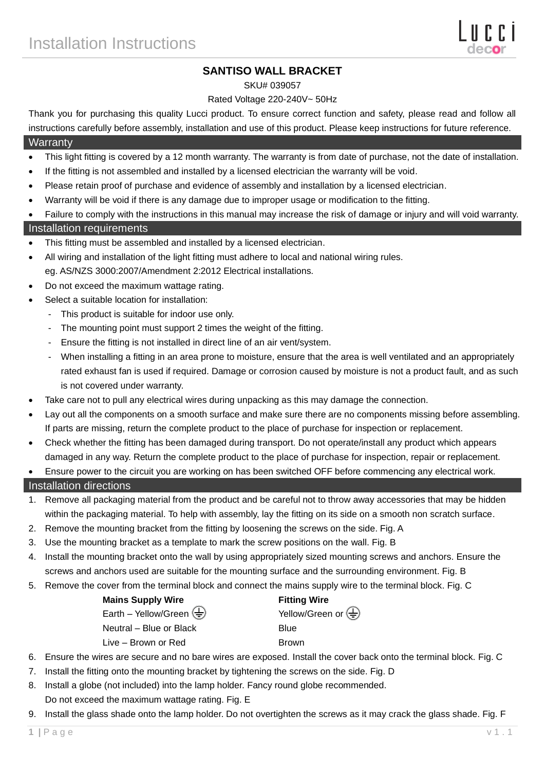# **SANTISO WALL BRACKET**

#### SKU# 039057

## Rated Voltage 220-240V~ 50Hz

Thank you for purchasing this quality Lucci product. To ensure correct function and safety, please read and follow all instructions carefully before assembly, installation and use of this product. Please keep instructions for future reference.

#### **Warranty**

- This light fitting is covered by a 12 month warranty. The warranty is from date of purchase, not the date of installation.
- If the fitting is not assembled and installed by a licensed electrician the warranty will be void.
- Please retain proof of purchase and evidence of assembly and installation by a licensed electrician.
- Warranty will be void if there is any damage due to improper usage or modification to the fitting.
- Failure to comply with the instructions in this manual may increase the risk of damage or injury and will void warranty.

## Installation requirements

- This fitting must be assembled and installed by a licensed electrician.
- All wiring and installation of the light fitting must adhere to local and national wiring rules. eg. AS/NZS 3000:2007/Amendment 2:2012 Electrical installations.
- Do not exceed the maximum wattage rating.
- Select a suitable location for installation:
	- This product is suitable for indoor use only.
	- The mounting point must support 2 times the weight of the fitting.
	- Ensure the fitting is not installed in direct line of an air vent/system.
	- When installing a fitting in an area prone to moisture, ensure that the area is well ventilated and an appropriately rated exhaust fan is used if required. Damage or corrosion caused by moisture is not a product fault, and as such is not covered under warranty.
- Take care not to pull any electrical wires during unpacking as this may damage the connection.
- Lay out all the components on a smooth surface and make sure there are no components missing before assembling. If parts are missing, return the complete product to the place of purchase for inspection or replacement.
- Check whether the fitting has been damaged during transport. Do not operate/install any product which appears damaged in any way. Return the complete product to the place of purchase for inspection, repair or replacement.
- Ensure power to the circuit you are working on has been switched OFF before commencing any electrical work.

## Installation directions

- 1. Remove all packaging material from the product and be careful not to throw away accessories that may be hidden within the packaging material. To help with assembly, lay the fitting on its side on a smooth non scratch surface.
- 2. Remove the mounting bracket from the fitting by loosening the screws on the side. Fig. A
- 3. Use the mounting bracket as a template to mark the screw positions on the wall. Fig. B
- 4. Install the mounting bracket onto the wall by using appropriately sized mounting screws and anchors. Ensure the screws and anchors used are suitable for the mounting surface and the surrounding environment. Fig. B
- 5. Remove the cover from the terminal block and connect the mains supply wire to the terminal block. Fig. C

| <b>Mains Supply Wire</b>         | <b>Fitting Wire</b>                             |
|----------------------------------|-------------------------------------------------|
| Earth – Yellow/Green $\bigoplus$ | Yellow/Green or $\left(\frac{\Gamma}{n}\right)$ |
| Neutral – Blue or Black          | Blue                                            |
| Live - Brown or Red              | <b>Brown</b>                                    |

- 6. Ensure the wires are secure and no bare wires are exposed. Install the cover back onto the terminal block. Fig. C
- 7. Install the fitting onto the mounting bracket by tightening the screws on the side. Fig. D
- 8. Install a globe (not included) into the lamp holder. Fancy round globe recommended. Do not exceed the maximum wattage rating. Fig. E
- 9. Install the glass shade onto the lamp holder. Do not overtighten the screws as it may crack the glass shade. Fig. F